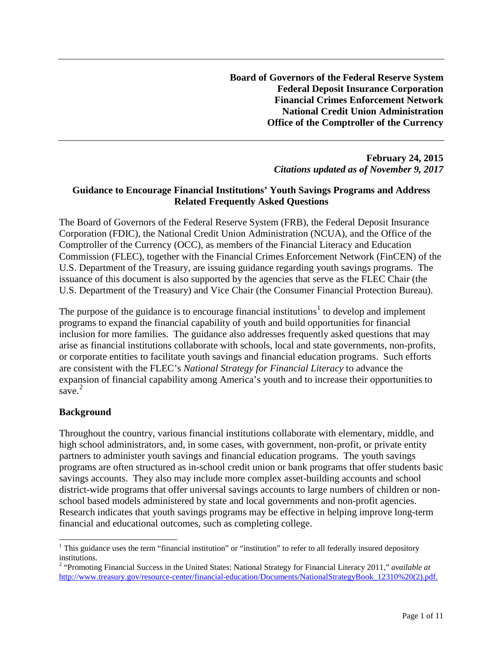**Board of Governors of the Federal Reserve System Federal Deposit Insurance Corporation Financial Crimes Enforcement Network National Credit Union Administration Office of the Comptroller of the Currency**

### **February 24, 2015** *Citations updated as of November 9, 2017*

### **Guidance to Encourage Financial Institutions' Youth Savings Programs and Address Related Frequently Asked Questions**

The Board of Governors of the Federal Reserve System (FRB), the Federal Deposit Insurance Corporation (FDIC), the National Credit Union Administration (NCUA), and the Office of the Comptroller of the Currency (OCC), as members of the Financial Literacy and Education Commission (FLEC), together with the Financial Crimes Enforcement Network (FinCEN) of the U.S. Department of the Treasury, are issuing guidance regarding youth savings programs. The issuance of this document is also supported by the agencies that serve as the FLEC Chair (the U.S. Department of the Treasury) and Vice Chair (the Consumer Financial Protection Bureau).

The purpose of the guidance is to encourage financial institutions<sup>[1](#page-0-0)</sup> to develop and implement programs to expand the financial capability of youth and build opportunities for financial inclusion for more families. The guidance also addresses frequently asked questions that may arise as financial institutions collaborate with schools, local and state governments, non-profits, or corporate entities to facilitate youth savings and financial education programs. Such efforts are consistent with the FLEC's *National Strategy for Financial Literacy* to advance the expansion of financial capability among America's youth and to increase their opportunities to save. [2](#page-0-1)

## **Background**

Throughout the country, various financial institutions collaborate with elementary, middle, and high school administrators, and, in some cases, with government, non-profit, or private entity partners to administer youth savings and financial education programs. The youth savings programs are often structured as in-school credit union or bank programs that offer students basic savings accounts. They also may include more complex asset-building accounts and school district-wide programs that offer universal savings accounts to large numbers of children or nonschool based models administered by state and local governments and non-profit agencies. Research indicates that youth savings programs may be effective in helping improve long-term financial and educational outcomes, such as completing college.

<span id="page-0-0"></span><sup>&</sup>lt;sup>1</sup> This guidance uses the term "financial institution" or "institution" to refer to all federally insured depository institutions.

<span id="page-0-1"></span><sup>2</sup> "Promoting Financial Success in the United States: National Strategy for Financial Literacy 2011," *available at* [http://www.treasury.gov/resource-center/financial-education/Documents/NationalStrategyBook\\_12310%20\(2\).pdf.](http://www.treasury.gov/resource-center/financial-education/Documents/NationalStrategyBook_12310%20(2).pdf)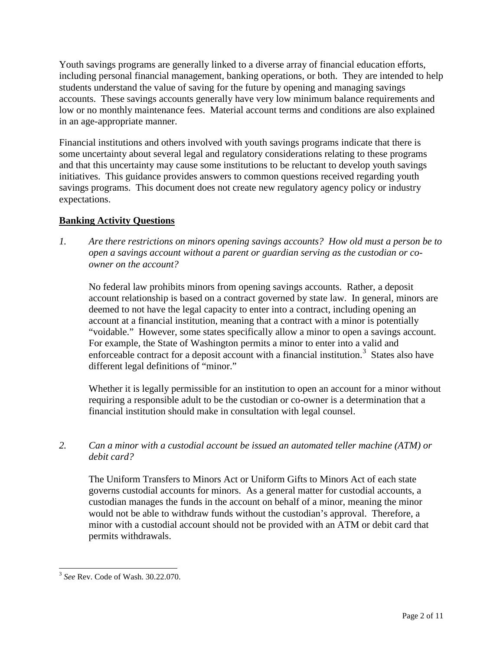Youth savings programs are generally linked to a diverse array of financial education efforts, including personal financial management, banking operations, or both. They are intended to help students understand the value of saving for the future by opening and managing savings accounts. These savings accounts generally have very low minimum balance requirements and low or no monthly maintenance fees. Material account terms and conditions are also explained in an age-appropriate manner.

Financial institutions and others involved with youth savings programs indicate that there is some uncertainty about several legal and regulatory considerations relating to these programs and that this uncertainty may cause some institutions to be reluctant to develop youth savings initiatives. This guidance provides answers to common questions received regarding youth savings programs. This document does not create new regulatory agency policy or industry expectations.

# **Banking Activity Questions**

*1. Are there restrictions on minors opening savings accounts? How old must a person be to open a savings account without a parent or guardian serving as the custodian or coowner on the account?*

No federal law prohibits minors from opening savings accounts. Rather, a deposit account relationship is based on a contract governed by state law. In general, minors are deemed to not have the legal capacity to enter into a contract, including opening an account at a financial institution, meaning that a contract with a minor is potentially "voidable." However, some states specifically allow a minor to open a savings account. For example, the State of Washington permits a minor to enter into a valid and enforceable contract for a deposit account with a financial institution.<sup>[3](#page-1-0)</sup> States also have different legal definitions of "minor."

Whether it is legally permissible for an institution to open an account for a minor without requiring a responsible adult to be the custodian or co-owner is a determination that a financial institution should make in consultation with legal counsel.

*2. Can a minor with a custodial account be issued an automated teller machine (ATM) or debit card?* 

The Uniform Transfers to Minors Act or Uniform Gifts to Minors Act of each state governs custodial accounts for minors. As a general matter for custodial accounts, a custodian manages the funds in the account on behalf of a minor, meaning the minor would not be able to withdraw funds without the custodian's approval. Therefore, a minor with a custodial account should not be provided with an ATM or debit card that permits withdrawals.

<span id="page-1-0"></span> <sup>3</sup> *See* Rev. Code of Wash. 30.22.070.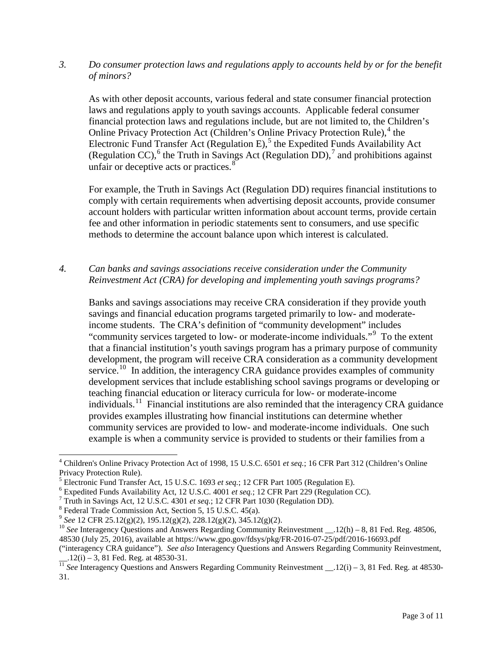*3. Do consumer protection laws and regulations apply to accounts held by or for the benefit of minors?* 

As with other deposit accounts, various federal and state consumer financial protection laws and regulations apply to youth savings accounts. Applicable federal consumer financial protection laws and regulations include, but are not limited to, the Children's Online Privacy Protection Act (Children's Online Privacy Protection Rule), $4$  the Electronic Fund Transfer Act (Regulation E),<sup>[5](#page-2-1)</sup> the Expedited Funds Availability Act (Regulation CC),<sup>[6](#page-2-2)</sup> the Truth in Savings Act (Regulation DD),<sup>[7](#page-2-3)</sup> and prohibitions against unfair or deceptive acts or practices.<sup>[8](#page-2-4)</sup>

For example, the Truth in Savings Act (Regulation DD) requires financial institutions to comply with certain requirements when advertising deposit accounts, provide consumer account holders with particular written information about account terms, provide certain fee and other information in periodic statements sent to consumers, and use specific methods to determine the account balance upon which interest is calculated.

*4. Can banks and savings associations receive consideration under the Community Reinvestment Act (CRA) for developing and implementing youth savings programs?* 

Banks and savings associations may receive CRA consideration if they provide youth savings and financial education programs targeted primarily to low- and moderateincome students. The CRA's definition of "community development" includes "community services targeted to low- or moderate-income individuals."<sup>[9](#page-2-5)</sup> To the extent that a financial institution's youth savings program has a primary purpose of community development, the program will receive CRA consideration as a community development service.<sup>[10](#page-2-6)</sup> In addition, the interagency CRA guidance provides examples of community development services that include establishing school savings programs or developing or teaching financial education or literacy curricula for low- or moderate-income individuals.<sup>[11](#page-2-7)</sup> Financial institutions are also reminded that the interagency CRA guidance provides examples illustrating how financial institutions can determine whether community services are provided to low- and moderate-income individuals. One such example is when a community service is provided to students or their families from a

 <sup>4</sup> Children's Online Privacy Protection Act of 1998, 15 U.S.C. 6501 *et seq.*; 16 CFR Part 312 (Children's Online

<span id="page-2-2"></span>

<span id="page-2-3"></span>

<span id="page-2-4"></span>

<span id="page-2-6"></span><span id="page-2-5"></span>

<span id="page-2-1"></span><span id="page-2-0"></span>Privacy Protection Rule).<br>
<sup>5</sup> Electronic Fund Transfer Act, 15 U.S.C. 1693 *et seq.*; 12 CFR Part 1005 (Regulation E).<br>
<sup>6</sup> Expedited Funds Availability Act, 12 U.S.C. 4001 *et seq.*; 12 CFR Part 229 (Regulation CC).<br>
<sup>7</sup> 48530 (July 25, 2016), available at https://www.gpo.gov/fdsys/pkg/FR-2016-07-25/pdf/2016-16693.pdf

<sup>(&</sup>quot;interagency CRA guidance"). *See also* Interagency Questions and Answers Regarding Community Reinvestment,

<span id="page-2-7"></span>\_\_.12(i) – 3, 81 Fed. Reg. at 48530-31. <sup>11</sup> *See* Interagency Questions and Answers Regarding Community Reinvestment \_\_.12(i) – 3, 81 Fed. Reg. at 48530- 31.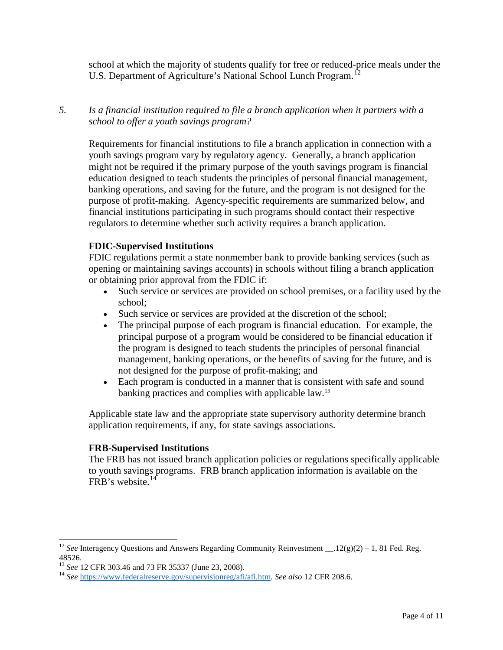school at which the majority of students qualify for free or reduced-price meals under the U.S. Department of Agriculture's National School Lunch Program.<sup>[12](#page-3-0)</sup>

## *5. Is a financial institution required to file a branch application when it partners with a school to offer a youth savings program?*

Requirements for financial institutions to file a branch application in connection with a youth savings program vary by regulatory agency. Generally, a branch application might not be required if the primary purpose of the youth savings program is financial education designed to teach students the principles of personal financial management, banking operations, and saving for the future, and the program is not designed for the purpose of profit-making. Agency-specific requirements are summarized below, and financial institutions participating in such programs should contact their respective regulators to determine whether such activity requires a branch application.

## **FDIC-Supervised Institutions**

FDIC regulations permit a state nonmember bank to provide banking services (such as opening or maintaining savings accounts) in schools without filing a branch application or obtaining prior approval from the FDIC if:

- Such service or services are provided on school premises, or a facility used by the school;
- Such service or services are provided at the discretion of the school;
- The principal purpose of each program is financial education. For example, the principal purpose of a program would be considered to be financial education if the program is designed to teach students the principles of personal financial management, banking operations, or the benefits of saving for the future, and is not designed for the purpose of profit-making; and
- Each program is conducted in a manner that is consistent with safe and sound banking practices and complies with applicable law.[13](#page-3-1)

Applicable state law and the appropriate state supervisory authority determine branch application requirements, if any, for state savings associations.

#### **FRB-Supervised Institutions**

The FRB has not issued branch application policies or regulations specifically applicable to youth savings programs. FRB branch application information is available on the FRB's website.<sup>14</sup>

<span id="page-3-0"></span><sup>&</sup>lt;sup>12</sup> *See* Interagency Questions and Answers Regarding Community Reinvestment \_\_.12(g)(2) – 1, 81 Fed. Reg. 48526.

<span id="page-3-2"></span><span id="page-3-1"></span><sup>&</sup>lt;sup>13</sup> *See* 12 CFR 303.46 and 73 FR 35337 (June 23, 2008).<br><sup>14</sup> *See* [https://www.federalreserve.gov/supervisionreg/afi/afi.htm.](https://www.federalreserve.gov/supervisionreg/afi/afi.htm) *See also* 12 CFR 208.6.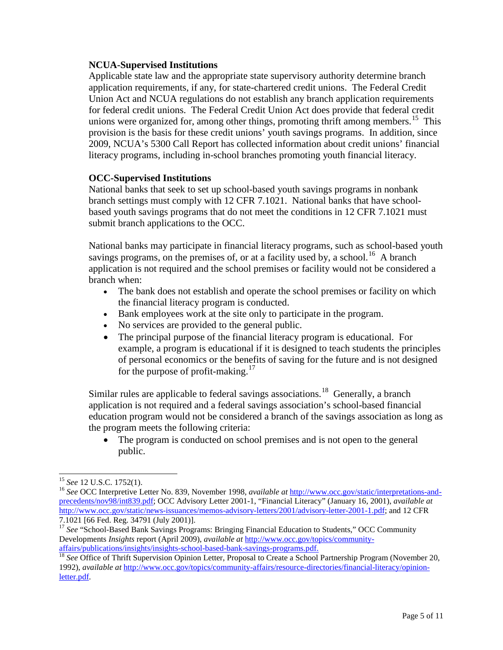#### **NCUA-Supervised Institutions**

Applicable state law and the appropriate state supervisory authority determine branch application requirements, if any, for state-chartered credit unions. The Federal Credit Union Act and NCUA regulations do not establish any branch application requirements for federal credit unions. The Federal Credit Union Act does provide that federal credit unions were organized for, among other things, promoting thrift among members.<sup>[15](#page-4-0)</sup> This provision is the basis for these credit unions' youth savings programs. In addition, since 2009, NCUA's 5300 Call Report has collected information about credit unions' financial literacy programs, including in-school branches promoting youth financial literacy.

### **OCC-Supervised Institutions**

National banks that seek to set up school-based youth savings programs in nonbank branch settings must comply with 12 CFR 7.1021. National banks that have schoolbased youth savings programs that do not meet the conditions in 12 CFR 7.1021 must submit branch applications to the OCC.

National banks may participate in financial literacy programs, such as school-based youth savings programs, on the premises of, or at a facility used by, a school.<sup>[16](#page-4-1)</sup> A branch application is not required and the school premises or facility would not be considered a branch when:

- The bank does not establish and operate the school premises or facility on which the financial literacy program is conducted.
- Bank employees work at the site only to participate in the program.
- No services are provided to the general public.
- The principal purpose of the financial literacy program is educational. For example, a program is educational if it is designed to teach students the principles of personal economics or the benefits of saving for the future and is not designed for the purpose of profit-making.<sup>17</sup>

Similar rules are applicable to federal savings associations.<sup>18</sup> Generally, a branch application is not required and a federal savings association's school-based financial education program would not be considered a branch of the savings association as long as the program meets the following criteria:

• The program is conducted on school premises and is not open to the general public.

<span id="page-4-1"></span><span id="page-4-0"></span><sup>&</sup>lt;sup>15</sup> *See* 12 U.S.C. 1752(1).<br><sup>16</sup> *See* OCC Interpretive Letter No. 839, November 1998, *available at* [http://www.occ.gov/static/interpretations-and](http://www.occ.gov/static/interpretations-and-precedents/nov98/int839.pdf)[precedents/nov98/int839.pdf;](http://www.occ.gov/static/interpretations-and-precedents/nov98/int839.pdf) OCC Advisory Letter 2001-1, "Financial Literacy" (January 16, 2001), *available at* [http://www.occ.gov/static/news-issuances/memos-advisory-letters/2001/advisory-letter-2001-1.pdf;](http://www.occ.gov/static/news-issuances/memos-advisory-letters/2001/advisory-letter-2001-1.pdf) and 12 CFR<br>7.1021 [66 Fed. Reg. 34791 (July 2001)].

<span id="page-4-2"></span><sup>&</sup>lt;sup>17</sup> See "School-Based Bank Savings Programs: Bringing Financial Education to Students," OCC Community Developments *Insights* report (April 2009), *available at* [http://www.occ.gov/topics/community-](http://www.occ.gov/topics/community-affairs/publications/insights/insights-school-based-bank-savings-programs.pdf)

<span id="page-4-3"></span><sup>&</sup>lt;sup>18</sup> See Office of Thrift Supervision Opinion Letter, Proposal to Create a School Partnership Program (November 20, 1992), *available at* [http://www.occ.gov/topics/community-affairs/resource-directories/financial-literacy/opinion](http://www.occ.gov/topics/community-affairs/resource-directories/financial-literacy/opinion-letter.pdf)[letter.pdf.](http://www.occ.gov/topics/community-affairs/resource-directories/financial-literacy/opinion-letter.pdf)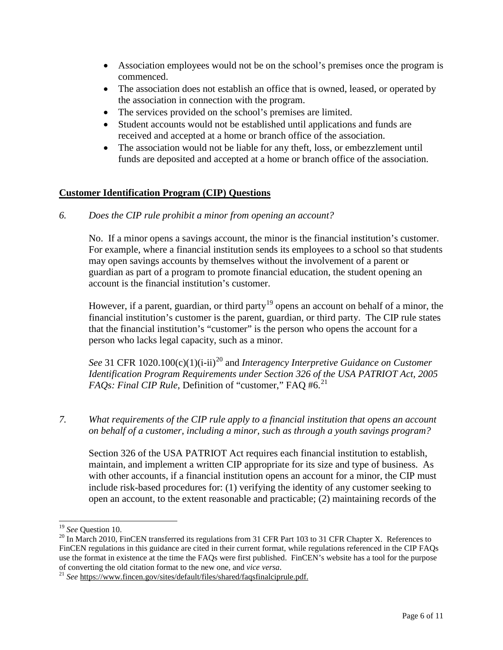- Association employees would not be on the school's premises once the program is commenced.
- The association does not establish an office that is owned, leased, or operated by the association in connection with the program.
- The services provided on the school's premises are limited.
- Student accounts would not be established until applications and funds are received and accepted at a home or branch office of the association.
- The association would not be liable for any theft, loss, or embezzlement until funds are deposited and accepted at a home or branch office of the association.

## **Customer Identification Program (CIP) Questions**

*6. Does the CIP rule prohibit a minor from opening an account?* 

No. If a minor opens a savings account, the minor is the financial institution's customer. For example, where a financial institution sends its employees to a school so that students may open savings accounts by themselves without the involvement of a parent or guardian as part of a program to promote financial education, the student opening an account is the financial institution's customer.

However, if a parent, guardian, or third party<sup>[19](#page-5-0)</sup> opens an account on behalf of a minor, the financial institution's customer is the parent, guardian, or third party. The CIP rule states that the financial institution's "customer" is the person who opens the account for a person who lacks legal capacity, such as a minor.

*See* 31 CFR 10[20](#page-5-1).100(c)(1)(i-ii)<sup>20</sup> and *Interagency Interpretive Guidance on Customer Identification Program Requirements under Section 326 of the USA PATRIOT Act, 2005 FAQs: Final CIP Rule*, Definition of "customer," FAQ #6.<sup>[21](#page-5-2)</sup>

*7. What requirements of the CIP rule apply to a financial institution that opens an account on behalf of a customer, including a minor, such as through a youth savings program?*

Section 326 of the USA PATRIOT Act requires each financial institution to establish, maintain, and implement a written CIP appropriate for its size and type of business. As with other accounts, if a financial institution opens an account for a minor, the CIP must include risk-based procedures for: (1) verifying the identity of any customer seeking to open an account, to the extent reasonable and practicable; (2) maintaining records of the

<span id="page-5-1"></span><span id="page-5-0"></span><sup>&</sup>lt;sup>19</sup> *See* Question 10.<br><sup>20</sup> In March 2010, FinCEN transferred its regulations from 31 CFR Part 103 to 31 CFR Chapter X. References to FinCEN regulations in this guidance are cited in their current format, while regulations referenced in the CIP FAQs use the format in existence at the time the FAQs were first published. FinCEN's website has a tool for the purpose of converting the old citation format to the new one, and *vice versa*. 21 *See* [https://www.fincen.gov/sites/default/files/shared/faqsfinalciprule.pdf.](https://www.fincen.gov/sites/default/files/shared/faqsfinalciprule.pdf)

<span id="page-5-2"></span>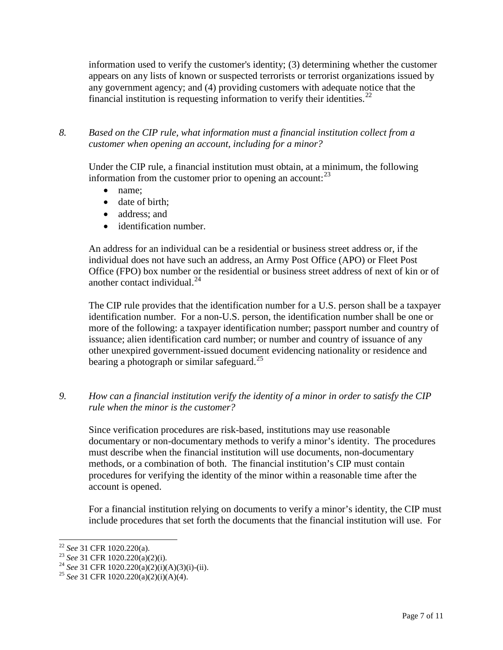information used to verify the customer's identity; (3) determining whether the customer appears on any lists of known or suspected terrorists or terrorist organizations issued by any government agency; and (4) providing customers with adequate notice that the financial institution is requesting information to verify their identities.<sup>[22](#page-6-0)</sup>

*8. Based on the CIP rule, what information must a financial institution collect from a customer when opening an account, including for a minor?* 

Under the CIP rule, a financial institution must obtain, at a minimum, the following information from the customer prior to opening an account:<sup>[23](#page-6-1)</sup>

- name;
- date of birth;
- address: and
- identification number.

An address for an individual can be a residential or business street address or, if the individual does not have such an address, an Army Post Office (APO) or Fleet Post Office (FPO) box number or the residential or business street address of next of kin or of another contact individual.<sup>[24](#page-6-2)</sup>

The CIP rule provides that the identification number for a U.S. person shall be a taxpayer identification number. For a non-U.S. person, the identification number shall be one or more of the following: a taxpayer identification number; passport number and country of issuance; alien identification card number; or number and country of issuance of any other unexpired government-issued document evidencing nationality or residence and bearing a photograph or similar safeguard.<sup>[25](#page-6-3)</sup>

*9. How can a financial institution verify the identity of a minor in order to satisfy the CIP rule when the minor is the customer?*

Since verification procedures are risk-based, institutions may use reasonable documentary or non-documentary methods to verify a minor's identity. The procedures must describe when the financial institution will use documents, non-documentary methods, or a combination of both. The financial institution's CIP must contain procedures for verifying the identity of the minor within a reasonable time after the account is opened.

For a financial institution relying on documents to verify a minor's identity, the CIP must include procedures that set forth the documents that the financial institution will use. For

<span id="page-6-1"></span><span id="page-6-0"></span><sup>22</sup> *See* 31 CFR 1020.220(a). <sup>23</sup> *See* 31 CFR 1020.220(a)(2)(i). <sup>24</sup> *See* 31 CFR 1020.220(a)(2)(i)(A)(3)(i)-(ii). <sup>25</sup> *See* 31 CFR 1020.220(a)(2)(i)(A)(4).

<span id="page-6-3"></span><span id="page-6-2"></span>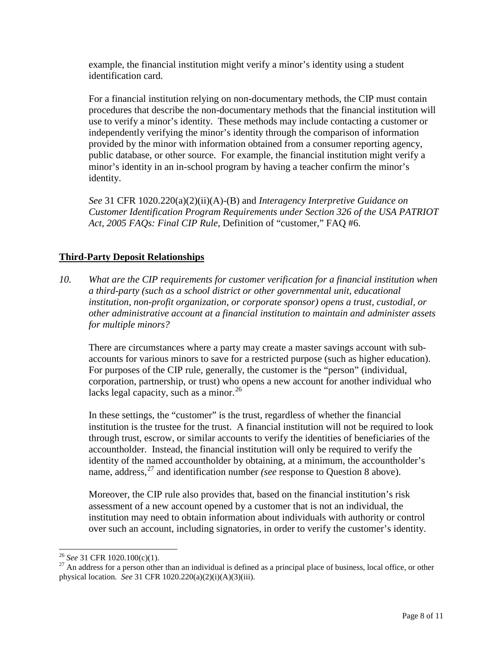example, the financial institution might verify a minor's identity using a student identification card.

For a financial institution relying on non-documentary methods, the CIP must contain procedures that describe the non-documentary methods that the financial institution will use to verify a minor's identity. These methods may include contacting a customer or independently verifying the minor's identity through the comparison of information provided by the minor with information obtained from a consumer reporting agency, public database, or other source. For example, the financial institution might verify a minor's identity in an in-school program by having a teacher confirm the minor's identity.

*See* 31 CFR 1020.220(a)(2)(ii)(A)-(B) and *Interagency Interpretive Guidance on Customer Identification Program Requirements under Section 326 of the USA PATRIOT Act*, *2005 FAQs: Final CIP Rule*, Definition of "customer," FAQ #6.

# **Third-Party Deposit Relationships**

*10. What are the CIP requirements for customer verification for a financial institution when a third-party (such as a school district or other governmental unit, educational institution, non-profit organization, or corporate sponsor) opens a trust, custodial, or other administrative account at a financial institution to maintain and administer assets for multiple minors?*

There are circumstances where a party may create a master savings account with subaccounts for various minors to save for a restricted purpose (such as higher education). For purposes of the CIP rule, generally, the customer is the "person" (individual, corporation, partnership, or trust) who opens a new account for another individual who lacks legal capacity, such as a minor.<sup>[26](#page-7-0)</sup>

In these settings, the "customer" is the trust, regardless of whether the financial institution is the trustee for the trust. A financial institution will not be required to look through trust, escrow, or similar accounts to verify the identities of beneficiaries of the accountholder. Instead, the financial institution will only be required to verify the identity of the named accountholder by obtaining, at a minimum, the accountholder's name, address, [27](#page-7-1) and identification number *(see* response to Question 8 above).

Moreover, the CIP rule also provides that, based on the financial institution's risk assessment of a new account opened by a customer that is not an individual, the institution may need to obtain information about individuals with authority or control over such an account, including signatories, in order to verify the customer's identity.

<span id="page-7-1"></span><span id="page-7-0"></span><sup>&</sup>lt;sup>26</sup> *See* 31 CFR 1020.100(c)(1).<br><sup>27</sup> An address for a person other than an individual is defined as a principal place of business, local office, or other physical location. *See* 31 CFR 1020.220(a)(2)(i)(A)(3)(iii).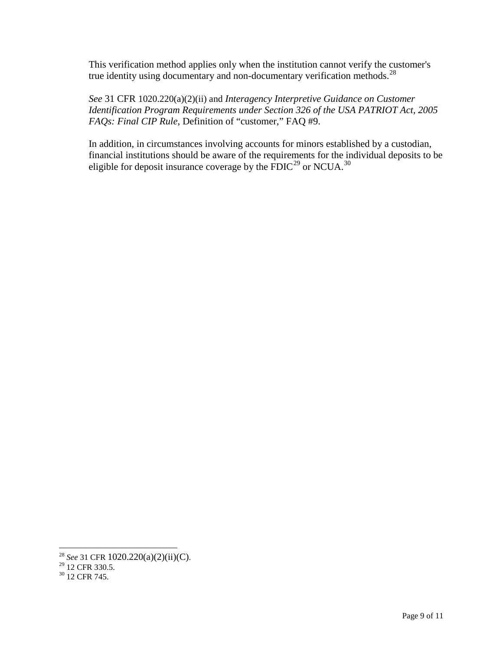This verification method applies only when the institution cannot verify the customer's true identity using documentary and non-documentary verification methods. $^{28}$ 

*See* 31 CFR 1020.220(a)(2)(ii) and *Interagency Interpretive Guidance on Customer Identification Program Requirements under Section 326 of the USA PATRIOT Act, 2005 FAQs: Final CIP Rule*, Definition of "customer," FAQ #9.

In addition, in circumstances involving accounts for minors established by a custodian, financial institutions should be aware of the requirements for the individual deposits to be eligible for deposit insurance coverage by the  $\text{FDIC}^{29}$  $\text{FDIC}^{29}$  $\text{FDIC}^{29}$  or NCUA.<sup>[30](#page-8-2)</sup>

<span id="page-8-0"></span><sup>&</sup>lt;sup>28</sup> *See* 31 CFR 1020.220(a)(2)(ii)(C).<br><sup>29</sup> 12 CFR 330.5.<br><sup>30</sup> 12 CFR 745.

<span id="page-8-1"></span>

<span id="page-8-2"></span>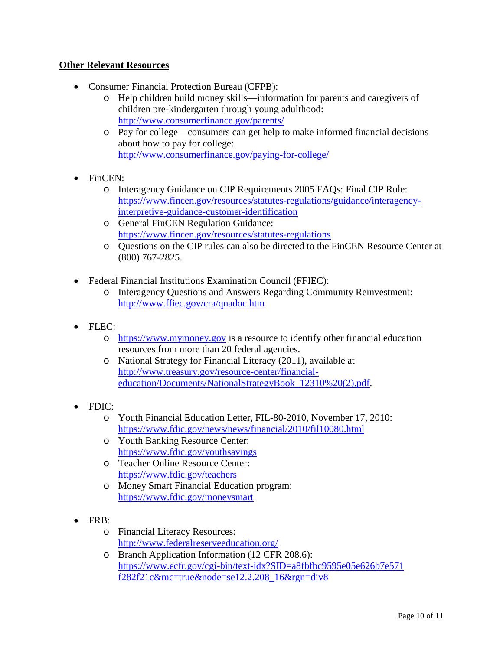## **Other Relevant Resources**

- Consumer Financial Protection Bureau (CFPB):
	- o Help children build money skills—information for parents and caregivers of children pre-kindergarten through young adulthood: <http://www.consumerfinance.gov/parents/>
	- o Pay for college—consumers can get help to make informed financial decisions about how to pay for college: <http://www.consumerfinance.gov/paying-for-college/>
- FinCEN:
	- o Interagency Guidance on CIP Requirements 2005 FAQs: Final CIP Rule: [https://www.fincen.gov/resources/statutes-regulations/guidance/interagency](https://www.fincen.gov/resources/statutes-regulations/guidance/interagency-interpretive-guidance-customer-identification)[interpretive-guidance-customer-identification](https://www.fincen.gov/resources/statutes-regulations/guidance/interagency-interpretive-guidance-customer-identification)
	- o General FinCEN Regulation Guidance: <https://www.fincen.gov/resources/statutes-regulations>
	- o Questions on the CIP rules can also be directed to the FinCEN Resource Center at (800) 767-2825.
- Federal Financial Institutions Examination Council (FFIEC):
	- o Interagency Questions and Answers Regarding Community Reinvestment: <http://www.ffiec.gov/cra/qnadoc.htm>
- FLEC:
	- o [https://www.mymoney.gov](https://www.mymoney.gov/) is a resource to identify other financial education resources from more than 20 federal agencies.
	- o National Strategy for Financial Literacy (2011), available at [http://www.treasury.gov/resource-center/financial](http://www.treasury.gov/resource-center/financial-education/Documents/NationalStrategyBook_12310%20(2).pdf)[education/Documents/NationalStrategyBook\\_12310%20\(2\).pdf.](http://www.treasury.gov/resource-center/financial-education/Documents/NationalStrategyBook_12310%20(2).pdf)
- FDIC:
	- o Youth Financial Education Letter, FIL-80-2010, November 17, 2010: <https://www.fdic.gov/news/news/financial/2010/fil10080.html>
	- o Youth Banking Resource Center: <https://www.fdic.gov/youthsavings>
	- o Teacher Online Resource Center: <https://www.fdic.gov/teachers>
	- o Money Smart Financial Education program: <https://www.fdic.gov/moneysmart>
- FRB:
	- o Financial Literacy Resources: <http://www.federalreserveeducation.org/>
	- o Branch Application Information (12 CFR 208.6): [https://www.ecfr.gov/cgi-bin/text-idx?SID=a8fbfbc9595e05e626b7e571](https://www.ecfr.gov/cgi-bin/text-idx?SID=a8fbfbc9595e05e626b7e571%20f282f21c&mc=true&node=se12.2.208_16&rgn=div8)  [f282f21c&mc=true&node=se12.2.208\\_16&rgn=div8](https://www.ecfr.gov/cgi-bin/text-idx?SID=a8fbfbc9595e05e626b7e571%20f282f21c&mc=true&node=se12.2.208_16&rgn=div8)